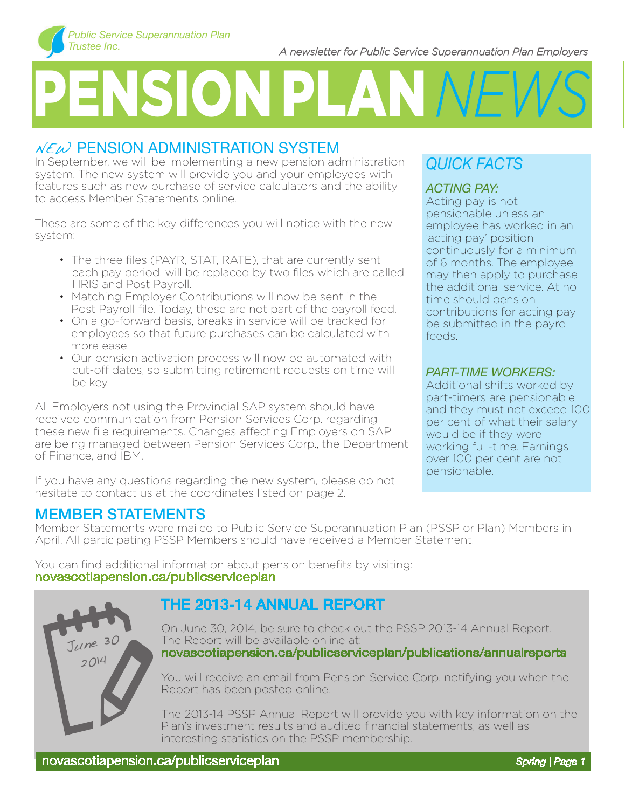# PENSION PLAN *NEWS*

# $NEM$  PENSION ADMINISTRATION SYSTEM

In September, we will be implementing a new pension administration system. The new system will provide you and your employees with features such as new purchase of service calculators and the ability to access Member Statements online.

These are some of the key differences you will notice with the new system:

- The three files (PAYR, STAT, RATE), that are currently sent each pay period, will be replaced by two files which are called HRIS and Post Payroll.
- Matching Employer Contributions will now be sent in the Post Payroll file. Today, these are not part of the payroll feed.
- On a go-forward basis, breaks in service will be tracked for employees so that future purchases can be calculated with more ease.
- Our pension activation process will now be automated with cut-off dates, so submitting retirement requests on time will be key.

All Employers not using the Provincial SAP system should have received communication from Pension Services Corp. regarding these new file requirements. Changes affecting Employers on SAP are being managed between Pension Services Corp., the Department of Finance, and IBM.

If you have any questions regarding the new system, please do not hesitate to contact us at the coordinates listed on page 2.

# MEMBER STATEMENTS

Member Statements were mailed to Public Service Superannuation Plan (PSSP or Plan) Members in April. All participating PSSP Members should have received a Member Statement.

You can find additional information about pension benefits by visiting: novascotiapension.ca/publicserviceplan



# the 2013-14 Annual Report

On June 30, 2014, be sure to check out the PSSP 2013-14 Annual Report. The Report will be available online at: novascotiapension.ca/publicserviceplan/publications/annualreports

You will receive an email from Pension Service Corp. notifying you when the Report has been posted online.

The 2013-14 PSSP Annual Report will provide you with key information on the Plan's investment results and audited financial statements, as well as interesting statistics on the PSSP membership.

# *QUICK FACTS*

### *ACTING PAY:*

Acting pay is not pensionable unless an employee has worked in an 'acting pay' position continuously for a minimum of 6 months. The employee may then apply to purchase the additional service. At no time should pension contributions for acting pay be submitted in the payroll feeds.

#### *PART-TIME WORKERS:*

Additional shifts worked by part-timers are pensionable and they must not exceed 100 per cent of what their salary would be if they were working full-time. Earnings over 100 per cent are not pensionable.